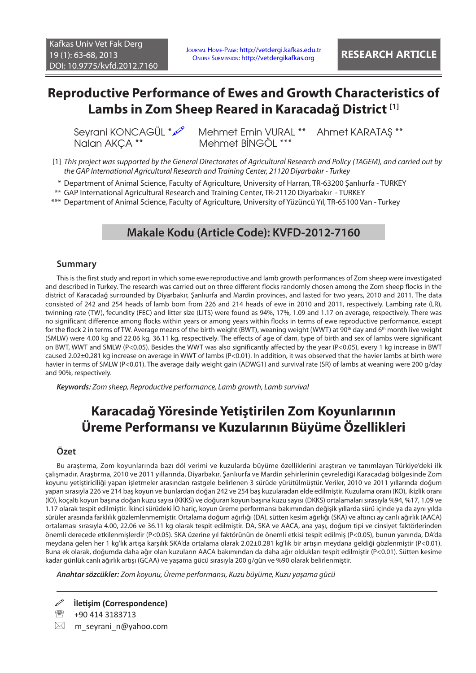## **Reproductive Performance of Ewes and Growth Characteristics of Lambs in Zom Sheep Reared in Karacadağ District [1]**

Nalan AKÇA \*\* Mehmet BİNGÖL \*\*\*

Seyrani KONCAGÜL \* $\mathcal{P}$  Mehmet Emin VURAL \*\* Ahmet KARATAS \*\*

- [1] *This project was supported by the General Directorates of Agricultural Research and Policy (TAGEM), and carried out by the GAP International Agricultural Research and Training Center, 21120 Diyarbakır - Turkey*
- \* Department of Animal Science, Faculty of Agriculture, University of Harran, TR-63200 Şanlıurfa TURKEY
- \*\* GAP International Agricultural Research and Training Center, TR-21120 Diyarbakır TURKEY

\*\*\* Department of Animal Science, Faculty of Agriculture, University of Yüzüncü Yıl, TR-65100 Van - Turkey

### **Makale Kodu (Article Code): KVFD-2012-7160**

#### **Summary**

This is the first study and report in which some ewe reproductive and lamb growth performances of Zom sheep were investigated and described in Turkey. The research was carried out on three different flocks randomly chosen among the Zom sheep flocks in the district of Karacadağ surrounded by Diyarbakır, Şanlıurfa and Mardin provinces, and lasted for two years, 2010 and 2011. The data consisted of 242 and 254 heads of lamb born from 226 and 214 heads of ewe in 2010 and 2011, respectively. Lambing rate (LR), twinning rate (TW), fecundity (FEC) and litter size (LITS) were found as 94%, 17%, 1.09 and 1.17 on average, respectively. There was no significant difference among flocks within years or among years within flocks in terms of ewe reproductive performance, except for the flock 2 in terms of TW. Average means of the birth weight (BWT), weaning weight (WWT) at 90<sup>th</sup> day and 6<sup>th</sup> month live weight (SMLW) were 4.00 kg and 22.06 kg, 36.11 kg, respectively. The effects of age of dam, type of birth and sex of lambs were significant on BWT, WWT and SMLW (P<0.05). Besides the WWT was also significantly affected by the year (P<0.05), every 1 kg increase in BWT caused 2.02±0.281 kg increase on average in WWT of lambs (P<0.01). In addition, it was observed that the havier lambs at birth were havier in terms of SMLW (P<0.01). The average daily weight gain (ADWG1) and survival rate (SR) of lambs at weaning were 200 g/day and 90%, respectively.

*Keywords: Zom sheep, Reproductive performance, Lamb growth, Lamb survival*

# **Karacadağ Yöresinde Yetiştirilen Zom Koyunlarının Üreme Performansı ve Kuzularının Büyüme Özellikleri**

### **Özet**

Bu araştırma, Zom koyunlarında bazı döl verimi ve kuzularda büyüme özelliklerini araştıran ve tanımlayan Türkiye'deki ilk çalışmadır. Araştırma, 2010 ve 2011 yıllarında, Diyarbakır, Şanlıurfa ve Mardin şehirlerinin çevrelediği Karacadağ bölgesinde Zom koyunu yetiştiriciliği yapan işletmeler arasından rastgele belirlenen 3 sürüde yürütülmüştür. Veriler, 2010 ve 2011 yıllarında doğum yapan sırasıyla 226 ve 214 baş koyun ve bunlardan doğan 242 ve 254 baş kuzularadan elde edilmiştir. Kuzulama oranı (KO), ikizlik oranı (İO), koçaltı koyun başına doğan kuzu sayısı (KKKS) ve doğuran koyun başına kuzu sayısı (DKKS) ortalamaları sırasıyla %94, %17, 1.09 ve 1.17 olarak tespit edilmiştir. İkinci sürüdeki İO hariç, koyun üreme performansı bakımından değişik yıllarda sürü içinde ya da aynı yılda sürüler arasında farklılık gözlemlenmemiştir. Ortalama doğum ağırlığı (DA), sütten kesim ağırlığı (SKA) ve altıncı ay canlı ağırlık (AACA) ortalaması sırasıyla 4.00, 22.06 ve 36.11 kg olarak tespit edilmiştir. DA, SKA ve AACA, ana yaşı, doğum tipi ve cinsiyet faktörlerinden önemli derecede etkilenmişlerdir (P<0.05). SKA üzerine yıl faktörünün de önemli etkisi tespit edilmiş (P<0.05), bunun yanında, DA'da meydana gelen her 1 kg'lık artışa karşılık SKA'da ortalama olarak 2.02±0.281 kg'lık bir artışın meydana geldiği gözlenmiştir (P<0.01). Buna ek olarak, doğumda daha ağır olan kuzuların AACA bakımından da daha ağır oldukları tespit edilmiştir (P<0.01). Sütten kesime kadar günlük canlı ağırlık artışı (GCAA) ve yaşama gücü sırasıyla 200 g/gün ve %90 olarak belirlenmiştir.

*Anahtar sözcükler: Zom koyunu, Üreme performansı, Kuzu büyüme, Kuzu yaşama gücü*

 $\boxtimes$  m\_seyrani\_n@yahoo.com

**İletişim (Correspondence)**

<sup>&</sup>lt;sup>2</sup> +90 414 3183713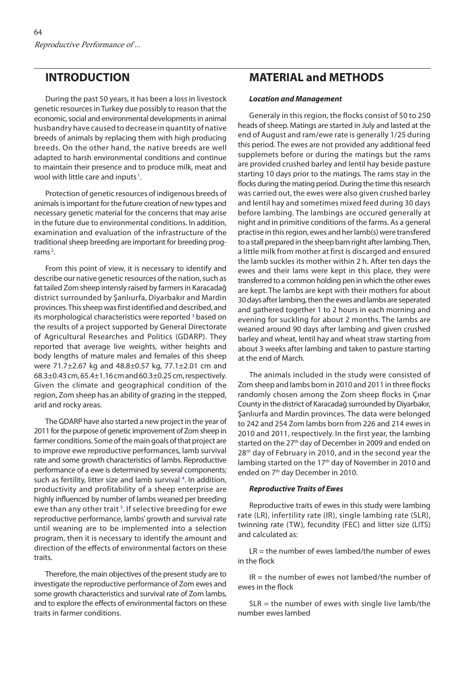### **INTRODUCTION**

During the past 50 years, it has been a loss in livestock genetic resources in Turkey due possibly to reason that the economic, social and environmental developments in animal husbandry have caused to decrease in quantity of native breeds of animals by replacing them with high producing breeds. On the other hand, the native breeds are well adapted to harsh environmental conditions and continue to maintain their presence and to produce milk, meat and wool with little care and inputs<sup>1</sup>[.](#page-5-0)

Protection of genetic resources of indigenous breeds of animals is important for the future creation of new types and necessary genetic material for the concerns that may arise in the future due to environmental conditions. In addition, examination and evaluation of the infrastructure of the traditional sheep breeding are important for breeding prog-rams<sup>2</sup>[.](#page-4-0)

From this point of view, it is necessary to identify and describe our native genetic resources of the nation, such as fat tailed Zom sheep intensly raised by farmers in Karacadağ district surrounded by Şanlıurfa, Diyarbakır and Mardin provinces. This sheep was first identified and described, and its morphological characteristics were reported<sup>3</sup> based on the results of a project supported by General Directorate of Agricultural Researches and Politics (GDARP). They reported that average live weights, wither heights and body lengths of mature males and females of this sheep were 71.7±2.67 kg and 48.8±0.57 kg, 77.1±2.01 cm and 68.3±0.43 cm, 65.4±1.16 cm and 60.3±0.25 cm, respectively. Given the climate and geographical condition of the region, Zom sheep has an ability of grazing in the stepped, arid and rocky areas.

The GDARP have also started a new project in the year of 2011 for the purpose of genetic improvement of Zom sheep in farmer conditions. Some of the main goals of that project are to improve ewe reproductive performances, lamb survival rate and some growth characteristics of lambs. Reproductive performance of a ewe is determined by several components; such as fertility, litter size and lamb survival<sup>4</sup>. In addition, productivity and profitability of a sheep enterprise are highly influenced by number of lambs weaned per breeding ewe than any other trait<sup>5</sup>. If selective breeding for ewe reproductive performance, lambs' growth and survival rate until weaning are to be implemented into a selection program, then it is necessary to identify the amount and direction of the effects of environmental factors on these traits.

Therefore, the main objectives of the present study are to investigate the reproductive performance of Zom ewes and some growth characteristics and survival rate of Zom lambs, and to explore the effects of environmental factors on these traits in farmer conditions.

## **MATERIAL and METHODS**

#### *Location and Management*

Generaly in this region, the flocks consist of 50 to 250 heads of sheep. Matings are started in July and lasted at the end of August and ram/ewe rate is generally 1/25 during this period. The ewes are not provided any additional feed supplemets before or during the matings but the rams are provided crushed barley and lentil hay beside pasture starting 10 days prior to the matings. The rams stay in the flocks during the mating period. During the time this research was carried out, the ewes were also given crushed barley and lentil hay and sometimes mixed feed during 30 days before lambing. The lambings are occured generally at night and in primitive conditions of the farms. As a general practise in this region, ewes and her lamb(s) were transfered to a stall prepared in the sheep barn right after lambing. Then, a little milk from mother at first is discarged and ensured the lamb suckles its mother within 2 h. After ten days the ewes and their lams were kept in this place, they were transferred to a common holding pen in which the other ewes are kept. The lambs are kept with their mothers for about 30 days after lambing, then the ewes and lambs are seperated and gathered together 1 to 2 hours in each morning and evening for suckling for about 2 months. The lambs are weaned around 90 days after lambing and given crushed barley and wheat, lentil hay and wheat straw starting from about 3 weeks after lambing and taken to pasture starting at the end of March.

The animals included in the study were consisted of Zom sheep and lambs born in 2010 and 2011 in three flocks randomly chosen among the Zom sheep flocks in Çınar County in the district of Karacadağ surrounded by Diyarbakır, Şanlıurfa and Mardin provinces. The data were belonged to 242 and 254 Zom lambs born from 226 and 214 ewes in 2010 and 2011, respectively. In the first year, the lambing started on the 27<sup>th</sup> day of December in 2009 and ended on 28<sup>th</sup> day of February in 2010, and in the second year the lambing started on the 17<sup>th</sup> day of November in 2010 and ended on 7<sup>th</sup> day December in 2010.

#### *Reproductive Traits of Ewes*

Reproductive traits of ewes in this study were lambing rate (LR), infertility rate (IR), single lambing rate (SLR), twinning rate (TW), fecundity (FEC) and litter size (LITS) and calculated as:

 $LR =$  the number of ewes lambed/the number of ewes in the flock

 $IR =$  the number of ewes not lambed/the number of ewes in the flock

 $SLR =$  the number of ewes with single live lamb/the number ewes lambed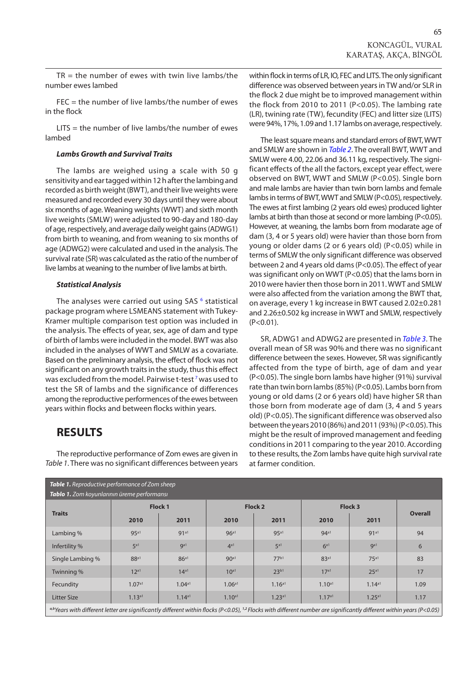$TR =$  the number of ewes with twin live lambs/the number ewes lambed

FEC = the number of live lambs/the number of ewes in the flock

LITS = the number of live lambs/the number of ewes lambed

#### *Lambs Growth and Survival Traits*

The lambs are weighed using a scale with 50 g sensitivity and ear tagged within 12 h after the lambing and recorded as birth weight (BWT), and their live weights were measured and recorded every 30 days until they were about six months of age. Weaning weights (WWT) and sixth month live weights (SMLW) were adjusted to 90-day and 180-day of age, respectively, and average daily weight gains (ADWG1) from birth to weaning, and from weaning to six months of age (ADWG2) were calculated and used in the analysis. The survival rate (SR) was calculated as the ratio of the number of live lambs at weaning to the number of live lambs at birth.

#### *Statistical Analysis*

The analyses were carried out using SAS<sup>6</sup> statistical package program where LSMEANS statement with Tukey-Kramer multiple comparison test option was included in the analysis. The effects of year, sex, age of dam and type of birth of lambs were included in the model. BWT was also included in the analyses of WWT and SMLW as a covariate. Based on the preliminary analysis, the effect of flock was not significant on any growth traits in the study, thus this effect was excluded from the model. Pairwise t-test  $^7$  was used to test the SR of lambs and the significance of differences among the reproductive performences of the ewes between years within flocks and between flocks within years.

### **RESULTS**

The reproductive performance of Zom ewes are given in *Table 1*. There was no significant differences between years within flock in terms of LR, IO, FEC and LITS. The only significant difference was observed between years in TW and/or SLR in the flock 2 due might be to improved management within the flock from 2010 to 2011 (P<0.05). The lambing rate (LR), twining rate (TW), fecundity (FEC) and litter size (LITS) were 94%, 17%, 1.09 and 1.17 lambs on average, respectively.

The least square means and standard errors of BWT, WWT and SMLW are shown in *[Table 2](#page-3-0)*. The overall BWT, WWT and SMLW were 4.00, 22.06 and 36.11 kg, respectively. The significant effects of the all the factors, except year effect, were observed on BWT, WWT and SMLW (P<0.05). Single born and male lambs are havier than twin born lambs and female lambs in terms of BWT, WWT and SMLW (P<0.05), respectively. The ewes at first lambing (2 years old ewes) produced lighter lambs at birth than those at second or more lambing (P<0.05). However, at weaning, the lambs born from modarate age of dam (3, 4 or 5 years old) were havier than those born from young or older dams (2 or 6 years old) (P<0.05) while in terms of SMLW the only significant difference was observed between 2 and 4 years old dams (P<0.05). The effect of year was significant only on WWT (P<0.05) that the lams born in 2010 were havier then those born in 2011. WWT and SMLW were also affected from the variation among the BWT that, on average, every 1 kg increase in BWT caused 2.02±0.281 and 2.26±0.502 kg increase in WWT and SMLW, respectively  $(P<0.01)$ .

SR, ADWG1 and ADWG2 are presented in *[Table 3.](#page-3-0)* The overall mean of SR was 90% and there was no significant difference between the sexes. However, SR was significantly affected from the type of birth, age of dam and year (P<0.05). The single born lambs have higher (91%) survival rate than twin born lambs (85%) (P<0.05). Lambs born from young or old dams (2 or 6 years old) have higher SR than those born from moderate age of dam (3, 4 and 5 years old) (P<0.05). The significant difference was observed also between the years 2010 (86%) and 2011 (93%) (P<0.05). This might be the result of improved management and feeding conditions in 2011 comparing to the year 2010. According to these results, the Zom lambs have quite high survival rate at farmer condition.

| <b>Table 1.</b> Reproductive performance of Zom sheep                                                                                                                                        |                  |                  |                    |                    |                    |                  |                |  |  |  |  |
|----------------------------------------------------------------------------------------------------------------------------------------------------------------------------------------------|------------------|------------------|--------------------|--------------------|--------------------|------------------|----------------|--|--|--|--|
| Tablo 1. Zom koyunlarının üreme performansı                                                                                                                                                  |                  |                  |                    |                    |                    |                  |                |  |  |  |  |
| <b>Traits</b>                                                                                                                                                                                | <b>Flock 1</b>   |                  | Flock 2            |                    | Flock 3            |                  |                |  |  |  |  |
|                                                                                                                                                                                              | 2010             | 2011             | 2010               | 2011               | 2010               | 2011             | <b>Overall</b> |  |  |  |  |
| Lambing %                                                                                                                                                                                    | 95 <sup>a1</sup> | 91 <sup>a1</sup> | $96^{a1}$          | 95 <sup>a1</sup>   | 94 <sup>a1</sup>   | 91 <sup>a1</sup> | 94             |  |  |  |  |
| Infertility %                                                                                                                                                                                | 5 <sup>a1</sup>  | ga1              | 4 <sup>a1</sup>    | 5 <sup>a1</sup>    | 6 <sup>a1</sup>    | Q <sub>a1</sub>  | 6              |  |  |  |  |
| Single Lambing %                                                                                                                                                                             | 88 <sup>a1</sup> | 86 <sup>a1</sup> | 90 <sup>a1</sup>   | 77b1               | 83 <sup>a1</sup>   | 75 <sup>al</sup> | 83             |  |  |  |  |
| Twinning %                                                                                                                                                                                   | 12 <sup>al</sup> | $14^{a1}$        | $10^{a1}$          | $23^{b1}$          | 17 <sup>a1</sup>   | 25 <sup>a1</sup> | 17             |  |  |  |  |
| Fecundity                                                                                                                                                                                    | 1.07a1           | 1.04a1           | 1.06 <sup>a1</sup> | 1.16 <sup>a1</sup> | 1.10 <sup>a1</sup> | 1.14a1           | 1.09           |  |  |  |  |
| <b>Litter Size</b>                                                                                                                                                                           | 1.13a1           | 1.14a1           | 1.10 <sup>a1</sup> | 1.23a1             | 1.17a1             | 1.25a1           | 1.17           |  |  |  |  |
| <sup>a,b</sup> Years with different letter are significantly different within flocks (P<0.05), <sup>1,2</sup> Flocks with different number are significantly different within years (P<0.05) |                  |                  |                    |                    |                    |                  |                |  |  |  |  |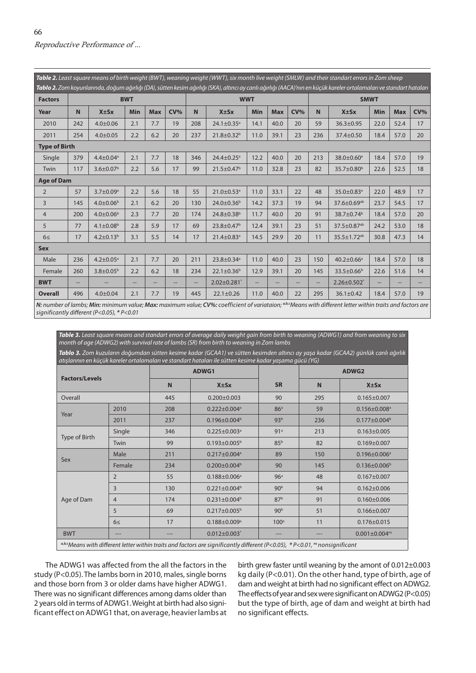<span id="page-3-0"></span>*Table 2. Least square means of birth weight (BWT), weaning weight (WWT), six month live weight (SMLW) and their standart errors in Zom sheep Tablo 2. Zom koyunlarında, doğum ağırlığı (DA), sütten kesim ağırlığı (SKA), altıncı ay canlı ağırlığı (AACA)'nın en küçük kareler ortalamaları ve standart hataları*  **Factors BWT WWT SMWT Year N X±Sx Min Max CV% N X±Sx Min Max CV% N X±Sx Min Max CV%** 2010 | 242 | 4.0±0.06 | 2.1 | 7.7 | 19 | 208 | 24.1±0.35ª | 14.1 | 40.0 | 20 | 59 | 36.3±0.95 | 22.0 | 52.4 | 17 2011 | 254 | 4.0±0.05 | 2.2 | 6.2 | 20 | 237 | 21.8±0.32<sup>b</sup> | 11.0 | 39.1 | 23 | 236 | 37.4±0.50 | 18.4 | 57.0 | 20 **Type of Birth** Single | 379 | 4.4±0.04ª | 2.1 | 7.7 | 18 | 346 | 24.4±0.25ª | 12.2 | 40.0 | 20 | 213 | 38.0±0.60ª | 18.4 | 57.0 | 19 Twin  $\parallel$  117  $\parallel$  3.6 $\pm0.07^{\rm b}$   $\parallel$  2.2  $\parallel$  5.6  $\parallel$  17  $\parallel$  99  $\parallel$  21.5 $\pm0.47^{\rm b}$   $\parallel$  11.0  $\parallel$  32.8  $\parallel$  23  $\parallel$  82  $\parallel$  35.7 $\pm0.80^{\rm b}$   $\parallel$  22.6  $\parallel$  52.5  $\parallel$  18 **Age of Dam** 2 57 3.7±0.09ª 2.2 5.6 18 55 21.0±0.53ª 11.0 33.1 22 48 35.0±0.83ª 22.0 48.9 17 3 145 4.0±0.06b 2.1 6.2 20 130 24.0±0.36b 14.2 37.3 19 94 37.6±0.69ab 23.7 54.5 17 4 200 4.0±0.06b 2.3 7.7 20 174 24.8±0.38b 11.7 40.0 20 91 38.7±0.74b 18.4 57.0 20  $5 \qquad$   $\mid$   $77 \mid$   $4.1\pm 0.08^{\mathrm{b}} \mid$   $2.8 \mid$   $5.9 \mid$   $17 \mid$   $69 \mid$   $23.8\pm 0.47^{\mathrm{b}} \mid$   $12.4 \mid$   $39.1 \mid$   $23 \mid$   $51 \mid$   $37.5\pm 0.87^{\mathrm{ab}} \mid$   $24.2 \mid$   $53.0 \mid$   $18$ 6≤  $\mid$  17  $\mid$  4.2±0.13 $^{\rm b}$   $\mid$  3.1  $\mid$  5.5  $\mid$  14  $\mid$  17  $\mid$  21.4±0.83 $^{\rm a}$   $\mid$  14.5  $\mid$  29.9  $\mid$  20  $\mid$  11  $\mid$  35.5±1.72 $^{\rm ab}$   $\mid$  30.8  $\mid$  47.3  $\mid$  14 **Sex** Male | 236 | 4.2±0.05ª | 2.1 | 7.7 | 20 | 211 | 23.8±0.34ª | 11.0 | 40.0 | 23 | 150 | 40.2±0.66ª | 18.4 | 57.0 | 18 Female 260 3.8±0.05b 2.2 6.2 18 234 22.1±0.36b 12.9 39.1 20 145 33.5±0.66b 22.6 51.6 14 **BWT** -- -- -- -- -- -- 2.02±0.281\* -- -- -- -- 2.26±0.502\* -- -- -- **Overall** 496 4.0±0.04 2.1 7.7 19 445 22.1±0.26 11.0 40.0 22 295 36.1±0.42 18.4 57.0 19 N: number of lambs; Min: minimum value; Max: maximum value; CV%: coefficient of variataion; <sup>a,bc</sup>Means with different letter within traits and factors are

*significantly different (P<0.05), \* P<0.01*

*Table 3. Least square means and standart errors of average daily weight gain from birth to weaning (ADWG1) and from weaning to six month of age (ADWG2) with survival rate of lambs (SR) from birth to weaning in Zom lambs*

*Tablo 3. Zom kuzuların doğumdan sütten kesime kadar (GCAA1) ve sütten kesimden altıncı ay yaşa kadar (GCAA2) günlük canlı ağırlık atışlarının en küçük kareler ortalamaları ve standart hataları ile sütten kesime kadar yaşama gücü (YG)*

| <b>Factors/Levels</b>                                                                                                                                                       |                | ADWG1 |                                |                  | ADWG2 |                                |  |  |
|-----------------------------------------------------------------------------------------------------------------------------------------------------------------------------|----------------|-------|--------------------------------|------------------|-------|--------------------------------|--|--|
|                                                                                                                                                                             |                | N     | $X \pm Sx$                     | <b>SR</b>        | N     | $X \pm S X$                    |  |  |
| Overall                                                                                                                                                                     |                | 445   | $0.200 \pm 0.003$              | 90               | 295   | $0.165 \pm 0.007$              |  |  |
| Year                                                                                                                                                                        | 2010           | 208   | $0.222 \pm 0.004$ <sup>a</sup> | 86 <sup>a</sup>  | 59    | $0.156 \pm 0.008$ <sup>a</sup> |  |  |
|                                                                                                                                                                             | 2011           | 237   | $0.196 \pm 0.004^b$            | 93 <sup>b</sup>  | 236   | $0.177 \pm 0.004^b$            |  |  |
| <b>Type of Birth</b>                                                                                                                                                        | Single         | 346   | $0.225 \pm 0.003$ <sup>a</sup> | 91 <sup>a</sup>  | 213   | $0.163 \pm 0.005$              |  |  |
|                                                                                                                                                                             | Twin           | 99    | $0.193 \pm 0.005^{\text{b}}$   | 85 <sup>b</sup>  | 82    | $0.169 \pm 0.007$              |  |  |
| Sex                                                                                                                                                                         | Male           | 211   | $0.217 \pm 0.004$ <sup>a</sup> | 89               | 150   | $0.196 \pm 0.006^a$            |  |  |
|                                                                                                                                                                             | Female         | 234   | $0.200 \pm 0.004^b$            | 90               | 145   | $0.136 \pm 0.006^b$            |  |  |
| Age of Dam                                                                                                                                                                  | $\overline{2}$ | 55    | $0.188 \pm 0.006^a$            | 96 <sup>a</sup>  | 48    | $0.167 \pm 0.007$              |  |  |
|                                                                                                                                                                             | $\overline{3}$ | 130   | $0.221 \pm 0.004^b$            | 90 <sup>b</sup>  | 94    | $0.162 \pm 0.006$              |  |  |
|                                                                                                                                                                             | $\overline{4}$ | 174   | $0.231 \pm 0.004^b$            | 87 <sup>b</sup>  | 91    | $0.160 \pm 0.006$              |  |  |
|                                                                                                                                                                             | 5              | 69    | $0.217 \pm 0.005^{\text{b}}$   | 90 <sup>b</sup>  | 51    | $0.166 \pm 0.007$              |  |  |
|                                                                                                                                                                             | 6<             | 17    | $0.188 \pm 0.009$ <sup>a</sup> | 100 <sup>a</sup> | 11    | $0.176 \pm 0.015$              |  |  |
| <b>BWT</b>                                                                                                                                                                  | $---$          | ---   | $0.012 \pm 0.003$ *            | ---              | ---   | $0.001 \pm 0.004^{ns}$         |  |  |
| $abcM$ and $a$ it by different letter within traits and factors are significantly different ( $D \times Q$ , $Q \subseteq Y$ $R$ , $Q$ , $Q$ , $Q$ , $R$ is popularitic ant |                |       |                                |                  |       |                                |  |  |

*a,b,cMeans with different letter within traits and factors are significantly different (P<0.05), \* P<0.01, ns nonsignificant*

The ADWG1 was affected from the all the factors in the study (P<0.05). The lambs born in 2010, males, single borns and those born from 3 or older dams have higher ADWG1. There was no significant differences among dams older than 2 years old in terms of ADWG1. Weight at birth had also significant effect on ADWG1 that, on average, heavier lambs at birth grew faster until weaning by the amont of 0.012±0.003 kg daily (P<0.01). On the other hand, type of birth, age of dam and weight at birth had no significant effect on ADWG2. The effects of year and sex were significant on ADWG2 (P<0.05) but the type of birth, age of dam and weight at birth had no significant effects.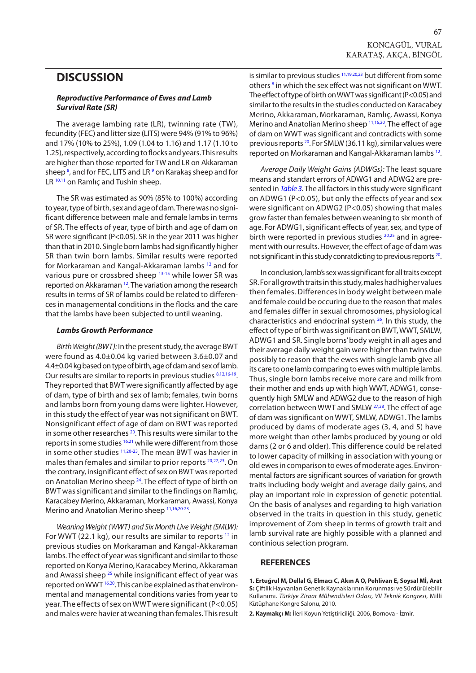### <span id="page-4-0"></span>**DISCUSSION**

#### *Reproductive Performance of Ewes and Lamb Survival Rate (SR)*

The average lambing rate (LR), twinning rate (TW), fecundity (FEC) and litter size (LITS) were 94% (91% to 96%) and 17% (10% to 25%), 1.09 (1.04 to 1.16) and 1.17 (1.10 to 1.25), respectively, according to flocks and years. This results are higher than those reported for TW and LR on Akkaraman sheep<sup>8</sup>, and for FEC, LITS and LR<sup>9</sup> on Karakaş sheep and for LR <sup>10,11</sup> on Ramlıç and Tushin sheep.

The SR was estimated as 90% (85% to 100%) according to year, type of birth, sex and age of dam. There was no significant difference between male and female lambs in terms of SR. The effects of year, type of birth and age of dam on SR were significant (P<0.05). SR in the year 2011 was higher than that in 2010. Single born lambs had significantly higher SR than twin born lambs. Similar results were reported for Morkaraman and Kangal-Akkaraman lambs [12](#page-5-0) and for various pure or crossbred sheep [13-15](#page-5-0) while lower SR was reported on Akkaraman [12.](#page-5-0) The variation among the research results in terms of SR of lambs could be related to differences in managemental conditions in the flocks and the care that the lambs have been subjected to until weaning.

#### *Lambs Growth Performance*

*Birth Weight (BWT):* In the present study, the average BWT were found as 4.0±0.04 kg varied between 3.6±0.07 and 4.4±0.04 kg based on type of birth, age of dam and sex of lamb. Our results are similar to reports in previous studies [8,12,16-19.](#page-5-0) They reported that BWT were significantly affected by age of dam, type of birth and sex of lamb; females, twin borns and lambs born from young dams were lighter. However, in this study the effect of year was not significant on BWT. Nonsignificant effect of age of dam on BWT was reported in some other researches <sup>20</sup>. This results were similar to the reports in some studies <sup>16,21</sup> while were different from those in some other studies [11,20-23.](#page-5-0) The mean BWT was havier in males than females and similar to prior reports [20,22,23.](#page-5-0) On the contrary, insignificant effect of sex on BWT was reported on Anatolian Merino sheep  $^{24}$ . The effect of type of birth on BWT was significant and similar to the findings on Ramlıç, Karacabey Merino, Akkaraman, Morkaraman, Awassi, Konya Merino and Anatolian Merino sheep [11,16,20-23.](#page-5-0)

*Weaning Weight (WWT) and Six Month Live Weight (SMLW):* For WWT (22.1 kg), our results are similar to reports<sup>12</sup> in previous studies on Morkaraman and Kangal-Akkaraman lambs. The effect of year was significant and similar to those reported on Konya Merino, Karacabey Merino, Akkaraman and Awassi sheep<sup>25</sup> while insignificant effect of year was reported on WW[T 16,20](#page-5-0). This can be explained as that environmental and managemental conditions varies from year to year. The effects of sex on WWT were significant (P<0.05) and males were havier at weaning than females. This result

is similar to previous studie[s 11,19,20,23](#page-5-0) but different from some others<sup>8</sup> in which the sex effect was not significant on WWT. The effect of type of birth on WWT was significant (P<0.05) and similar to the results in the studies conducted on Karacabey Merino, Akkaraman, Morkaraman, Ramlıç, Awassi, Konya Merino and Anatolian Merino sheep [11,16,20.](#page-5-0) The effect of age of dam on WWT was significant and contradicts with some previous reports [20.](#page-5-0) For SMLW (36.11 kg), similar values were reported on Morkaraman and Kangal-Akkaraman lambs [12.](#page-5-0) 

*Average Daily Weight Gains (ADWGs):* The least square means and standart errors of ADWG1 and ADWG2 are presented in *[Table 3](#page-3-0)*. The all factors in this study were significant on ADWG1 (P<0.05), but only the effects of year and sex were significant on ADWG2 (P<0.05) showing that males grow faster than females between weaning to six month of age. For ADWG1, significant effects of year, sex, and type of birth were reported in previous studies <sup>20,25</sup> and in agreement with our results. However, the effect of age of dam was not significant in this study conratdicting to previous reports [20.](#page-5-0) 

In conclusion, lamb's sex was significant for all traits except SR. For all growth traits in this study, males had higher values then females. Differences in body weight between male and female could be occuring due to the reason that males and females differ in sexual chromosomes, physiological characteristics and endocrinal system [26.](#page-5-0) In this study, the effect of type of birth was significant on BWT, WWT, SMLW, ADWG1 and SR. Single borns' body weight in all ages and their average daily weight gain were higher than twins due possibly to reason that the ewes with single lamb give all its care to one lamb comparing to ewes with multiple lambs. Thus, single born lambs receive more care and milk from their mother and ends up with high WWT, ADWG1, consequently high SMLW and ADWG2 due to the reason of high correlation between WWT and SML[W 27,28.](#page-5-0) The effect of age of dam was significant on WWT, SMLW, ADWG1. The lambs produced by dams of moderate ages (3, 4, and 5) have more weight than other lambs produced by young or old dams (2 or 6 and older). This difference could be related to lower capacity of milking in association with young or old ewes in comparison to ewes of moderate ages. Environmental factors are significant sources of variation for growth traits including body weight and average daily gains, and play an important role in expression of genetic potential. On the basis of analyses and regarding to high variation observed in the traits in question in this study, genetic improvement of Zom sheep in terms of growth trait and lamb survival rate are highly possible with a planned and continious selection program.

#### **REFERENCES**

**1. Ertuğrul M, Dellal G, Elmacı C, Akın A O, Pehlivan E, Soysal Mİ, Arat S:** Çiftlik Hayvanları Genetik Kaynaklarının Korunması ve Sürdürülebilir Kullanımı. *Türkiye Ziraat Mühendisleri Odası, VII Teknik Kongresi*, Milli Kütüphane Kongre Salonu, 2010.

**2. Kaymakçı M:** İleri Koyun Yetiştiriciliği. 2006, Bornova - İzmir.